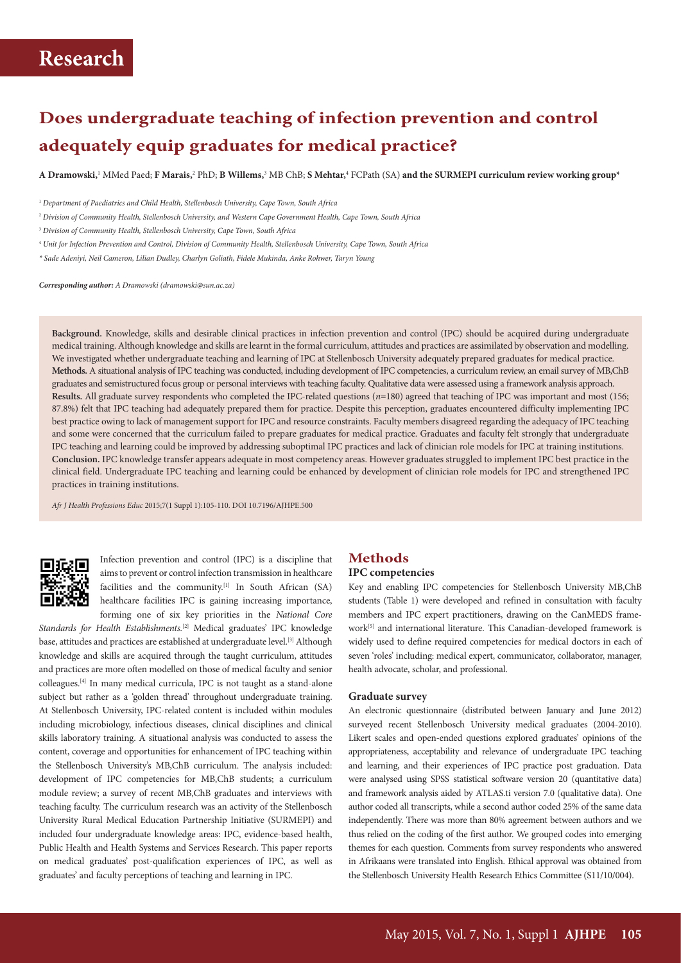# **Does undergraduate teaching of infection prevention and control adequately equip graduates for medical practice?**

**A Dramowski,**<sup>1</sup> MMed Paed; **F Marais,**<sup>2</sup> PhD; **B Willems,**<sup>3</sup> MB ChB; **S Mehtar,**<sup>4</sup> FCPath (SA) **and the SURMEPI curriculum review working group\***

2  *Division of Community Health, Stellenbosch University, and Western Cape Government Health, Cape Town, South Africa* 

- 4  *Unit for Infection Prevention and Control, Division of Community Health, Stellenbosch University, Cape Town, South Africa*
- *\* Sade Adeniyi, Neil Cameron, Lilian Dudley, Charlyn Goliath, Fidele Mukinda, Anke Rohwer, Taryn Young*

*Corresponding author: A Dramowski (dramowski@sun.ac.za)*

**Background.** Knowledge, skills and desirable clinical practices in infection prevention and control (IPC) should be acquired during undergraduate medical training. Although knowledge and skills are learnt in the formal curriculum, attitudes and practices are assimilated by observation and modelling. We investigated whether undergraduate teaching and learning of IPC at Stellenbosch University adequately prepared graduates for medical practice. **Methods.** A situational analysis of IPC teaching was conducted, including development of IPC competencies, a curriculum review, an email survey of MB,ChB graduates and semistructured focus group or personal interviews with teaching faculty. Qualitative data were assessed using a framework analysis approach. **Results.** All graduate survey respondents who completed the IPC-related questions (*n*=180) agreed that teaching of IPC was important and most (156; 87.8%) felt that IPC teaching had adequately prepared them for practice. Despite this perception, graduates encountered difficulty implementing IPC best practice owing to lack of management support for IPC and resource constraints. Faculty members disagreed regarding the adequacy of IPC teaching and some were concerned that the curriculum failed to prepare graduates for medical practice. Graduates and faculty felt strongly that undergraduate IPC teaching and learning could be improved by addressing suboptimal IPC practices and lack of clinician role models for IPC at training institutions. **Conclusion.** IPC knowledge transfer appears adequate in most competency areas. However graduates struggled to implement IPC best practice in the clinical field. Undergraduate IPC teaching and learning could be enhanced by development of clinician role models for IPC and strengthened IPC practices in training institutions.

*Afr J Health Professions Educ* 2015;7(1 Suppl 1):105-110. DOI 10.7196/AJHPE.500



Infection prevention and control (IPC) is a discipline that aims to prevent or control infection transmission in healthcare facilities and the community.<sup>[1]</sup> In South African (SA) healthcare facilities IPC is gaining increasing importance, forming one of six key priorities in the *National Core* 

*Standards for Health Establishments.*[2] Medical graduates' IPC knowledge base, attitudes and practices are established at undergraduate level.<sup>[3]</sup> Although knowledge and skills are acquired through the taught curriculum, attitudes and practices are more often modelled on those of medical faculty and senior colleagues.[4] In many medical curricula, IPC is not taught as a stand-alone subject but rather as a 'golden thread' throughout undergraduate training. At Stellenbosch University, IPC-related content is included within modules including microbiology, infectious diseases, clinical disciplines and clinical skills laboratory training. A situational analysis was conducted to assess the content, coverage and opportunities for enhancement of IPC teaching within the Stellenbosch University's MB,ChB curriculum. The analysis included: development of IPC competencies for MB,ChB students; a curriculum module review; a survey of recent MB,ChB graduates and interviews with teaching faculty. The curriculum research was an activity of the Stellenbosch University Rural Medical Education Partnership Initiative (SURMEPI) and included four undergraduate knowledge areas: IPC, evidence-based health, Public Health and Health Systems and Services Research. This paper reports on medical graduates' post-qualification experiences of IPC, as well as graduates' and faculty perceptions of teaching and learning in IPC.

# **Methods**

# **IPC competencies**

Key and enabling IPC competencies for Stellenbosch University MB,ChB students (Table 1) were developed and refined in consultation with faculty members and IPC expert practitioners, drawing on the CanMEDS framework<sup>[5]</sup> and international literature. This Canadian-developed framework is widely used to define required competencies for medical doctors in each of seven 'roles' including: medical expert, communicator, collaborator, manager, health advocate, scholar, and professional.

#### **Graduate survey**

An electronic questionnaire (distributed between January and June 2012) surveyed recent Stellenbosch University medical graduates (2004-2010). Likert scales and open-ended questions explored graduates' opinions of the appropriateness, acceptability and relevance of undergraduate IPC teaching and learning, and their experiences of IPC practice post graduation. Data were analysed using SPSS statistical software version 20 (quantitative data) and framework analysis aided by ATLAS.ti version 7.0 (qualitative data). One author coded all transcripts, while a second author coded 25% of the same data independently. There was more than 80% agreement between authors and we thus relied on the coding of the first author. We grouped codes into emerging themes for each question. Comments from survey respondents who answered in Afrikaans were translated into English. Ethical approval was obtained from the Stellenbosch University Health Research Ethics Committee (S11/10/004).

<sup>1</sup>  *Department of Paediatrics and Child Health, Stellenbosch University, Cape Town, South Africa* 

<sup>&</sup>lt;sup>3</sup> Division of Community Health, Stellenbosch University, Cape Town, South Africa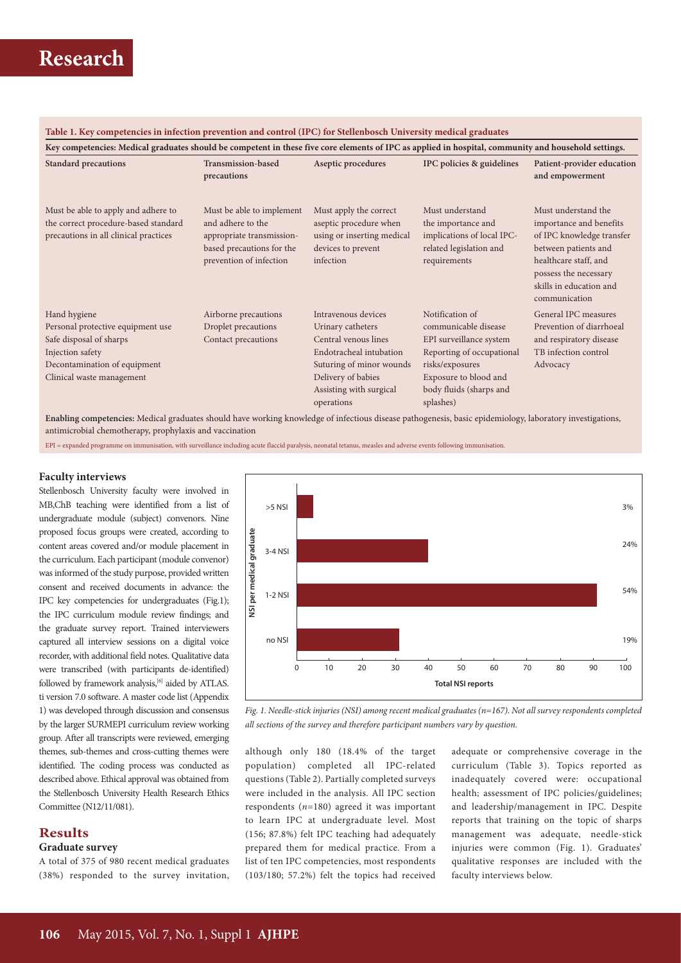### **Table 1. Key competencies in infection prevention and control (IPC) for Stellenbosch University medical graduates**

| Key competencies: Medical graduates should be competent in these five core elements of IPC as applied in hospital, community and household settings.          |                                                                                                                                     |                                                                                                                                                                                        |                                                                                                                                                                                     |                                                                                                                                                                                                   |  |  |
|---------------------------------------------------------------------------------------------------------------------------------------------------------------|-------------------------------------------------------------------------------------------------------------------------------------|----------------------------------------------------------------------------------------------------------------------------------------------------------------------------------------|-------------------------------------------------------------------------------------------------------------------------------------------------------------------------------------|---------------------------------------------------------------------------------------------------------------------------------------------------------------------------------------------------|--|--|
| <b>Standard precautions</b>                                                                                                                                   | Transmission-based<br>precautions                                                                                                   | Aseptic procedures                                                                                                                                                                     | IPC policies & guidelines                                                                                                                                                           | Patient-provider education<br>and empowerment                                                                                                                                                     |  |  |
| Must be able to apply and adhere to<br>the correct procedure-based standard<br>precautions in all clinical practices                                          | Must be able to implement<br>and adhere to the<br>appropriate transmission-<br>based precautions for the<br>prevention of infection | Must apply the correct<br>aseptic procedure when<br>using or inserting medical<br>devices to prevent<br>infection                                                                      | Must understand<br>the importance and<br>implications of local IPC-<br>related legislation and<br>requirements                                                                      | Must understand the<br>importance and benefits<br>of IPC knowledge transfer<br>between patients and<br>healthcare staff, and<br>possess the necessary<br>skills in education and<br>communication |  |  |
| Hand hygiene<br>Personal protective equipment use<br>Safe disposal of sharps<br>Injection safety<br>Decontamination of equipment<br>Clinical waste management | Airborne precautions<br>Droplet precautions<br>Contact precautions                                                                  | Intravenous devices<br>Urinary catheters<br>Central venous lines<br>Endotracheal intubation<br>Suturing of minor wounds<br>Delivery of babies<br>Assisting with surgical<br>operations | Notification of<br>communicable disease<br>EPI surveillance system<br>Reporting of occupational<br>risks/exposures<br>Exposure to blood and<br>body fluids (sharps and<br>splashes) | General IPC measures<br>Prevention of diarrhoeal<br>and respiratory disease<br>TB infection control<br>Advocacy                                                                                   |  |  |

**Enabling competencies:** Medical graduates should have working knowledge of infectious disease pathogenesis, basic epidemiology, laboratory investigations, antimicrobial chemotherapy, prophylaxis and vaccination

EPI = expanded programme on immunisation, with surveillance including acute flaccid paralysis, neonatal tetanus, measles and adverse events following immunisation.

#### **Faculty interviews**

Stellenbosch University faculty were involved in MB,ChB teaching were identified from a list of undergraduate module (subject) convenors. Nine proposed focus groups were created, according to content areas covered and/or module placement in the curriculum. Each participant (module convenor) was informed of the study purpose, provided written consent and received documents in advance: the IPC key competencies for undergraduates (Fig.1); the IPC curriculum module review findings; and the graduate survey report. Trained interviewers captured all interview sessions on a digital voice recorder, with additional field notes. Qualitative data were transcribed (with participants de-identified) followed by framework analysis,<sup>[6]</sup> aided by ATLAS. ti version 7.0 software. A master code list (Appendix 1) was developed through discussion and consensus by the larger SURMEPI curriculum review working group. After all transcripts were reviewed, emerging themes, sub-themes and cross-cutting themes were identified. The coding process was conducted as described above. Ethical approval was obtained from the Stellenbosch University Health Research Ethics Committee (N12/11/081).

### **Results**

#### **Graduate survey**

A total of 375 of 980 recent medical graduates (38%) responded to the survey invitation,



*Fig. 1. Needle-stick injuries (NSI) among recent medical graduates (n=167). Not all survey respondents completed all sections of the survey and therefore participant numbers vary by question.* 

although only 180 (18.4% of the target population) completed all IPC-related questions (Table 2). Partially completed surveys were included in the analysis. All IPC section respondents (*n*=180) agreed it was important to learn IPC at undergraduate level. Most (156; 87.8%) felt IPC teaching had adequately prepared them for medical practice. From a list of ten IPC competencies, most respondents (103/180; 57.2%) felt the topics had received

adequate or comprehensive coverage in the curriculum (Table 3). Topics reported as inadequately covered were: occupational health; assessment of IPC policies/guidelines; and leadership/management in IPC. Despite reports that training on the topic of sharps management was adequate, needle-stick injuries were common (Fig. 1). Graduates' qualitative responses are included with the faculty interviews below.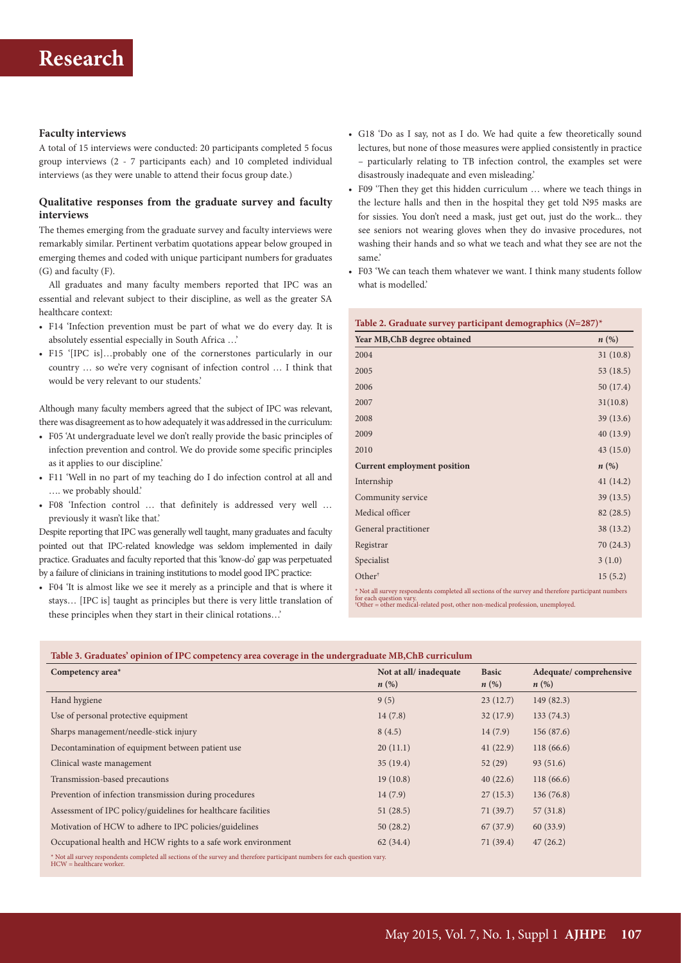#### **Faculty interviews**

A total of 15 interviews were conducted: 20 participants completed 5 focus group interviews (2 - 7 participants each) and 10 completed individual interviews (as they were unable to attend their focus group date.)

#### **Qualitative responses from the graduate survey and faculty interviews**

The themes emerging from the graduate survey and faculty interviews were remarkably similar. Pertinent verbatim quotations appear below grouped in emerging themes and coded with unique participant numbers for graduates (G) and faculty (F).

All graduates and many faculty members reported that IPC was an essential and relevant subject to their discipline, as well as the greater SA healthcare context:

- F14 'Infection prevention must be part of what we do every day. It is absolutely essential especially in South Africa …'
- F15 '[IPC is]…probably one of the cornerstones particularly in our country … so we're very cognisant of infection control … I think that would be very relevant to our students.'

Although many faculty members agreed that the subject of IPC was relevant, there was disagreement as to how adequately it was addressed in the curriculum:

- F05 'At undergraduate level we don't really provide the basic principles of infection prevention and control. We do provide some specific principles as it applies to our discipline.'
- F11 'Well in no part of my teaching do I do infection control at all and …. we probably should.'
- F08 'Infection control … that definitely is addressed very well … previously it wasn't like that.'

Despite reporting that IPC was generally well taught, many graduates and faculty pointed out that IPC-related knowledge was seldom implemented in daily practice. Graduates and faculty reported that this 'know-do' gap was perpetuated by a failure of clinicians in training institutions to model good IPC practice:

• F04 'It is almost like we see it merely as a principle and that is where it stays… [IPC is] taught as principles but there is very little translation of these principles when they start in their clinical rotations…'

- G18 'Do as I say, not as I do. We had quite a few theoretically sound lectures, but none of those measures were applied consistently in practice – particularly relating to TB infection control, the examples set were disastrously inadequate and even misleading.'
- F09 'Then they get this hidden curriculum … where we teach things in the lecture halls and then in the hospital they get told N95 masks are for sissies. You don't need a mask, just get out, just do the work... they see seniors not wearing gloves when they do invasive procedures, not washing their hands and so what we teach and what they see are not the same.'
- F03 'We can teach them whatever we want. I think many students follow what is modelled.'

| Table 2. Graduate survey participant demographics $(N=287)^*$                                                                                                                                                                |                    |  |  |  |
|------------------------------------------------------------------------------------------------------------------------------------------------------------------------------------------------------------------------------|--------------------|--|--|--|
| Year MB, ChB degree obtained                                                                                                                                                                                                 | $n\left(\%\right)$ |  |  |  |
| 2004                                                                                                                                                                                                                         | 31(10.8)           |  |  |  |
| 2005                                                                                                                                                                                                                         | 53 (18.5)          |  |  |  |
| 2006                                                                                                                                                                                                                         | 50 (17.4)          |  |  |  |
| 2007                                                                                                                                                                                                                         | 31(10.8)           |  |  |  |
| 2008                                                                                                                                                                                                                         | 39(13.6)           |  |  |  |
| 2009                                                                                                                                                                                                                         | 40 (13.9)          |  |  |  |
| 2010                                                                                                                                                                                                                         | 43(15.0)           |  |  |  |
| Current employment position                                                                                                                                                                                                  | $n\left(\%\right)$ |  |  |  |
| Internship                                                                                                                                                                                                                   | 41(14.2)           |  |  |  |
| Community service                                                                                                                                                                                                            | 39(13.5)           |  |  |  |
| Medical officer                                                                                                                                                                                                              | 82 (28.5)          |  |  |  |
| General practitioner                                                                                                                                                                                                         | 38 (13.2)          |  |  |  |
| Registrar                                                                                                                                                                                                                    | 70 (24.3)          |  |  |  |
| Specialist                                                                                                                                                                                                                   | 3(1.0)             |  |  |  |
| Other <sup>†</sup>                                                                                                                                                                                                           | 15(5.2)            |  |  |  |
| * Not all survey respondents completed all sections of the survey and therefore participant numbers<br>for each question vary.<br><sup>+</sup> Other = other medical-related post, other non-medical profession, unemployed. |                    |  |  |  |

**Table 3. Graduates' opinion of IPC competency area coverage in the undergraduate MB,ChB curriculum**

| Competency area*                                                                                                                                        | Not at all/inadequate<br>$n\left(\%\right)$ | <b>Basic</b><br>$n\left(\%\right)$ | Adequate/comprehensive<br>$n\left(\%\right)$ |  |  |
|---------------------------------------------------------------------------------------------------------------------------------------------------------|---------------------------------------------|------------------------------------|----------------------------------------------|--|--|
| Hand hygiene                                                                                                                                            | 9(5)                                        | 23(12.7)                           | 149(82.3)                                    |  |  |
| Use of personal protective equipment                                                                                                                    | 14(7.8)                                     | 32(17.9)                           | 133(74.3)                                    |  |  |
| Sharps management/needle-stick injury                                                                                                                   | 8(4.5)                                      | 14(7.9)                            | 156(87.6)                                    |  |  |
| Decontamination of equipment between patient use                                                                                                        | 20(11.1)                                    | 41(22.9)                           | 118(66.6)                                    |  |  |
| Clinical waste management                                                                                                                               | 35(19.4)                                    | 52(29)                             | 93(51.6)                                     |  |  |
| Transmission-based precautions                                                                                                                          | 19(10.8)                                    | 40(22.6)                           | 118(66.6)                                    |  |  |
| Prevention of infection transmission during procedures                                                                                                  | 14(7.9)                                     | 27(15.3)                           | 136(76.8)                                    |  |  |
| Assessment of IPC policy/guidelines for healthcare facilities                                                                                           | 51(28.5)                                    | 71(39.7)                           | 57(31.8)                                     |  |  |
| Motivation of HCW to adhere to IPC policies/guidelines                                                                                                  | 50(28.2)                                    | 67(37.9)                           | 60(33.9)                                     |  |  |
| Occupational health and HCW rights to a safe work environment                                                                                           | 62(34.4)                                    | 71(39.4)                           | 47(26.2)                                     |  |  |
| * Not all survey respondents completed all sections of the survey and therefore participant numbers for each question vary.<br>HCW = healthcare worker. |                                             |                                    |                                              |  |  |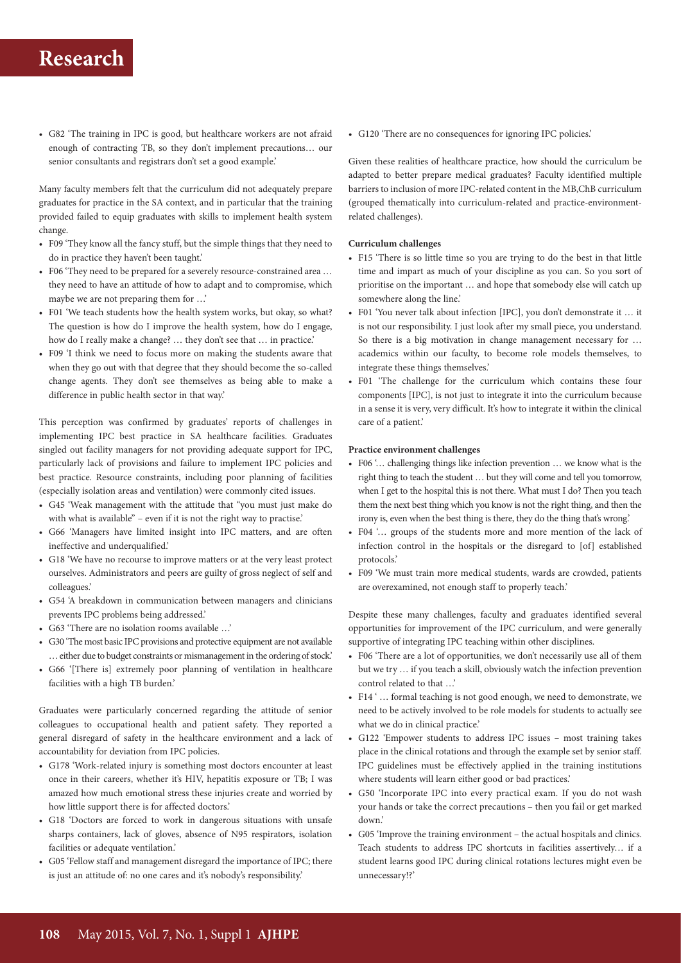• G82 'The training in IPC is good, but healthcare workers are not afraid enough of contracting TB, so they don't implement precautions… our senior consultants and registrars don't set a good example.'

Many faculty members felt that the curriculum did not adequately prepare graduates for practice in the SA context, and in particular that the training provided failed to equip graduates with skills to implement health system change.

- F09 'They know all the fancy stuff, but the simple things that they need to do in practice they haven't been taught.'
- F06 'They need to be prepared for a severely resource-constrained area … they need to have an attitude of how to adapt and to compromise, which maybe we are not preparing them for …'
- F01 'We teach students how the health system works, but okay, so what? The question is how do I improve the health system, how do I engage, how do I really make a change? … they don't see that … in practice.'
- F09 'I think we need to focus more on making the students aware that when they go out with that degree that they should become the so-called change agents. They don't see themselves as being able to make a difference in public health sector in that way.'

This perception was confirmed by graduates' reports of challenges in implementing IPC best practice in SA healthcare facilities. Graduates singled out facility managers for not providing adequate support for IPC, particularly lack of provisions and failure to implement IPC policies and best practice. Resource constraints, including poor planning of facilities (especially isolation areas and ventilation) were commonly cited issues.

- G45 'Weak management with the attitude that "you must just make do with what is available" - even if it is not the right way to practise.'
- G66 'Managers have limited insight into IPC matters, and are often ineffective and underqualified.'
- G18 'We have no recourse to improve matters or at the very least protect ourselves. Administrators and peers are guilty of gross neglect of self and colleagues.'
- G54 'A breakdown in communication between managers and clinicians prevents IPC problems being addressed.'
- G63 'There are no isolation rooms available …'
- G30 'The most basic IPC provisions and protective equipment are not available … either due to budget constraints or mismanagement in the ordering of stock.'
- G66 '[There is] extremely poor planning of ventilation in healthcare facilities with a high TB burden.'

Graduates were particularly concerned regarding the attitude of senior colleagues to occupational health and patient safety. They reported a general disregard of safety in the healthcare environment and a lack of accountability for deviation from IPC policies.

- G178 'Work-related injury is something most doctors encounter at least once in their careers, whether it's HIV, hepatitis exposure or TB; I was amazed how much emotional stress these injuries create and worried by how little support there is for affected doctors.'
- G18 'Doctors are forced to work in dangerous situations with unsafe sharps containers, lack of gloves, absence of N95 respirators, isolation facilities or adequate ventilation.'
- G05 'Fellow staff and management disregard the importance of IPC; there is just an attitude of: no one cares and it's nobody's responsibility.'

• G120 'There are no consequences for ignoring IPC policies.'

Given these realities of healthcare practice, how should the curriculum be adapted to better prepare medical graduates? Faculty identified multiple barriers to inclusion of more IPC-related content in the MB,ChB curriculum (grouped thematically into curriculum-related and practice-environmentrelated challenges).

### **Curriculum challenges**

- F15 'There is so little time so you are trying to do the best in that little time and impart as much of your discipline as you can. So you sort of prioritise on the important … and hope that somebody else will catch up somewhere along the line.'
- F01 'You never talk about infection [IPC], you don't demonstrate it … it is not our responsibility. I just look after my small piece, you understand. So there is a big motivation in change management necessary for … academics within our faculty, to become role models themselves, to integrate these things themselves.'
- F01 'The challenge for the curriculum which contains these four components [IPC], is not just to integrate it into the curriculum because in a sense it is very, very difficult. It's how to integrate it within the clinical care of a patient.'

#### **Practice environment challenges**

- F06 '… challenging things like infection prevention … we know what is the right thing to teach the student … but they will come and tell you tomorrow, when I get to the hospital this is not there. What must I do? Then you teach them the next best thing which you know is not the right thing, and then the irony is, even when the best thing is there, they do the thing that's wrong.'
- F04 '… groups of the students more and more mention of the lack of infection control in the hospitals or the disregard to [of] established protocols.'
- F09 'We must train more medical students, wards are crowded, patients are overexamined, not enough staff to properly teach.'

Despite these many challenges, faculty and graduates identified several opportunities for improvement of the IPC curriculum, and were generally supportive of integrating IPC teaching within other disciplines.

- F06 'There are a lot of opportunities, we don't necessarily use all of them but we try … if you teach a skill, obviously watch the infection prevention control related to that …'
- F14 '... formal teaching is not good enough, we need to demonstrate, we need to be actively involved to be role models for students to actually see what we do in clinical practice.'
- G122 'Empower students to address IPC issues most training takes place in the clinical rotations and through the example set by senior staff. IPC guidelines must be effectively applied in the training institutions where students will learn either good or bad practices.'
- G50 'Incorporate IPC into every practical exam. If you do not wash your hands or take the correct precautions – then you fail or get marked down.'
- G05 'Improve the training environment the actual hospitals and clinics. Teach students to address IPC shortcuts in facilities assertively… if a student learns good IPC during clinical rotations lectures might even be unnecessary!?'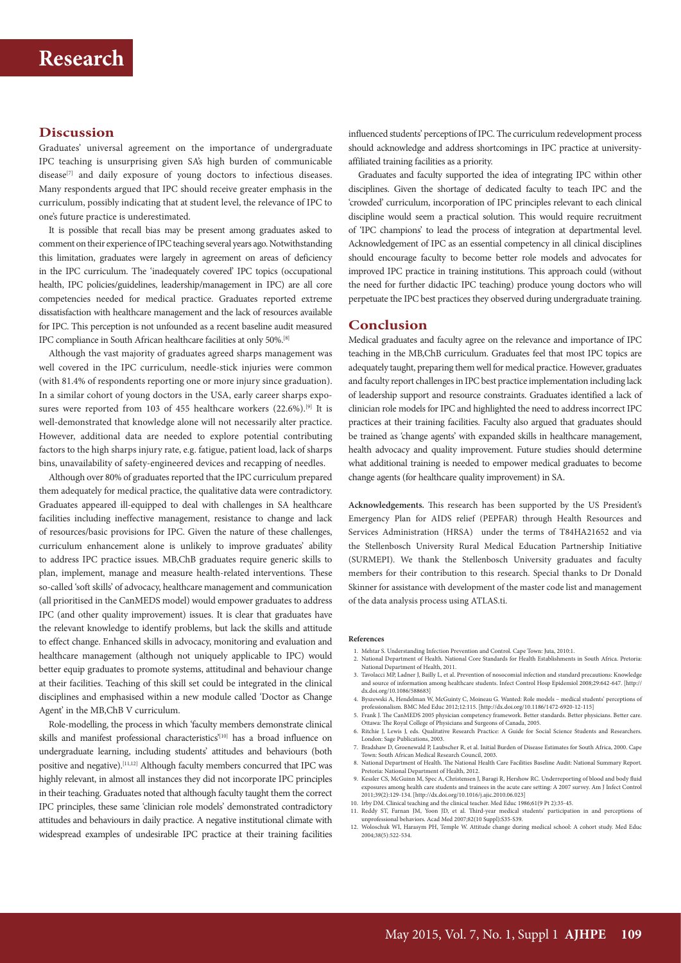## **Discussion**

Graduates' universal agreement on the importance of undergraduate IPC teaching is unsurprising given SA's high burden of communicable disease<sup>[7]</sup> and daily exposure of young doctors to infectious diseases. Many respondents argued that IPC should receive greater emphasis in the curriculum, possibly indicating that at student level, the relevance of IPC to one's future practice is underestimated.

It is possible that recall bias may be present among graduates asked to comment on their experience of IPC teaching several years ago. Notwithstanding this limitation, graduates were largely in agreement on areas of deficiency in the IPC curriculum. The 'inadequately covered' IPC topics (occupational health, IPC policies/guidelines, leadership/management in IPC) are all core competencies needed for medical practice. Graduates reported extreme dissatisfaction with healthcare management and the lack of resources available for IPC. This perception is not unfounded as a recent baseline audit measured IPC compliance in South African healthcare facilities at only 50%.[8]

Although the vast majority of graduates agreed sharps management was well covered in the IPC curriculum, needle-stick injuries were common (with 81.4% of respondents reporting one or more injury since graduation). In a similar cohort of young doctors in the USA, early career sharps exposures were reported from 103 of 455 healthcare workers  $(22.6\%)$ .<sup>[9]</sup> It is well-demonstrated that knowledge alone will not necessarily alter practice. However, additional data are needed to explore potential contributing factors to the high sharps injury rate, e.g. fatigue, patient load, lack of sharps bins, unavailability of safety-engineered devices and recapping of needles.

Although over 80% of graduates reported that the IPC curriculum prepared them adequately for medical practice, the qualitative data were contradictory. Graduates appeared ill-equipped to deal with challenges in SA healthcare facilities including ineffective management, resistance to change and lack of resources/basic provisions for IPC. Given the nature of these challenges, curriculum enhancement alone is unlikely to improve graduates' ability to address IPC practice issues. MB,ChB graduates require generic skills to plan, implement, manage and measure health-related interventions. These so-called 'soft skills' of advocacy, healthcare management and communication (all prioritised in the CanMEDS model) would empower graduates to address IPC (and other quality improvement) issues. It is clear that graduates have the relevant knowledge to identify problems, but lack the skills and attitude to effect change. Enhanced skills in advocacy, monitoring and evaluation and healthcare management (although not uniquely applicable to IPC) would better equip graduates to promote systems, attitudinal and behaviour change at their facilities. Teaching of this skill set could be integrated in the clinical disciplines and emphasised within a new module called 'Doctor as Change Agent' in the MB,ChB V curriculum.

Role-modelling, the process in which 'faculty members demonstrate clinical skills and manifest professional characteristics'<sup>[10]</sup> has a broad influence on undergraduate learning, including students' attitudes and behaviours (both positive and negative).<sup>[11,12]</sup> Although faculty members concurred that IPC was highly relevant, in almost all instances they did not incorporate IPC principles in their teaching. Graduates noted that although faculty taught them the correct IPC principles, these same 'clinician role models' demonstrated contradictory attitudes and behaviours in daily practice. A negative institutional climate with widespread examples of undesirable IPC practice at their training facilities

influenced students' perceptions of IPC. The curriculum redevelopment process should acknowledge and address shortcomings in IPC practice at universityaffiliated training facilities as a priority.

Graduates and faculty supported the idea of integrating IPC within other disciplines. Given the shortage of dedicated faculty to teach IPC and the 'crowded' curriculum, incorporation of IPC principles relevant to each clinical discipline would seem a practical solution. This would require recruitment of 'IPC champions' to lead the process of integration at departmental level. Acknowledgement of IPC as an essential competency in all clinical disciplines should encourage faculty to become better role models and advocates for improved IPC practice in training institutions. This approach could (without the need for further didactic IPC teaching) produce young doctors who will perpetuate the IPC best practices they observed during undergraduate training.

#### **Conclusion**

Medical graduates and faculty agree on the relevance and importance of IPC teaching in the MB,ChB curriculum. Graduates feel that most IPC topics are adequately taught, preparing them well for medical practice. However, graduates and faculty report challenges in IPC best practice implementation including lack of leadership support and resource constraints. Graduates identified a lack of clinician role models for IPC and highlighted the need to address incorrect IPC practices at their training facilities. Faculty also argued that graduates should be trained as 'change agents' with expanded skills in healthcare management, health advocacy and quality improvement. Future studies should determine what additional training is needed to empower medical graduates to become change agents (for healthcare quality improvement) in SA.

**Acknowledgements.** This research has been supported by the US President's Emergency Plan for AIDS relief (PEPFAR) through Health Resources and Services Administration (HRSA) under the terms of T84HA21652 and via the Stellenbosch University Rural Medical Education Partnership Initiative (SURMEPI). We thank the Stellenbosch University graduates and faculty members for their contribution to this research. Special thanks to Dr Donald Skinner for assistance with development of the master code list and management of the data analysis process using ATLAS.ti.

#### **References**

- 1. Mehtar S. Understanding Infection Prevention and Control. Cape Town: Juta, 2010:1. 2. National Department of Health. National Core Standards for Health Establishments in South Africa. Pretoria:
- National Department of Health, 2011. 3. Tavolacci MP, Ladner J, Bailly L, et al. Prevention of nosocomial infection and standard precautions: Knowledge
- and source of information among healthcare students. Infect Control Hosp Epidemiol 2008;29:642-647. [http:// dx.doi.org/10.1086/588683]
- 4. Byszewski A, Hendelman W, McGuinty C, Moineau G. Wanted: Role models medical students' perceptions of professionalism. BMC Med Educ 2012;12:115. [http://dx.doi.org/10.1186/1472-6920-12-115] 5. Frank J. The CanMEDS 2005 physician competency framework. Better standards. Better physicians. Better care.
- Ottawa: The Royal College of Physicians and Surgeons of Canada, 2005.
- 6. Ritchie J, Lewis J, eds. Qualitative Research Practice: A Guide for Social Science Students and Researchers. London: Sage Publications, 2003.
- 7. Bradshaw D, Groenewald P, Laubscher R, et al. Initial Burden of Disease Estimates for South Africa, 2000. Cape Town: South African Medical Research Council, 2003. 8. National Department of Health. The National Health Care Facilities Baseline Audit: National Summary Report.
- Pretoria: National Department of Health, 2012.
- 9. Kessler CS, McGuinn M, Spec A, Christensen J, Baragi R, Hershow RC. Underreporting of blood and body fluid exposures among health care students and trainees in the acute care setting: A 2007 survey. Am J Infect Control 2011;39(2):129-134. [http://dx.doi.org/10.1016/j.ajic.2010.06.023] 10. Irby DM. Clinical teaching and the clinical teacher. Med Educ 1986;61(9 Pt 2):35-45.
- 11. Reddy ST, Farnan JM, Yoon JD, et al. Third-year medical students' participation in and perceptions of unprofessional behaviors. Acad Med 2007;82(10 Suppl):S35-S39.
- 12. Woloschuk WI, Harasym PH, Temple W. Attitude change during medical school: A cohort study. Med Educ 2004;38(5):522-534.